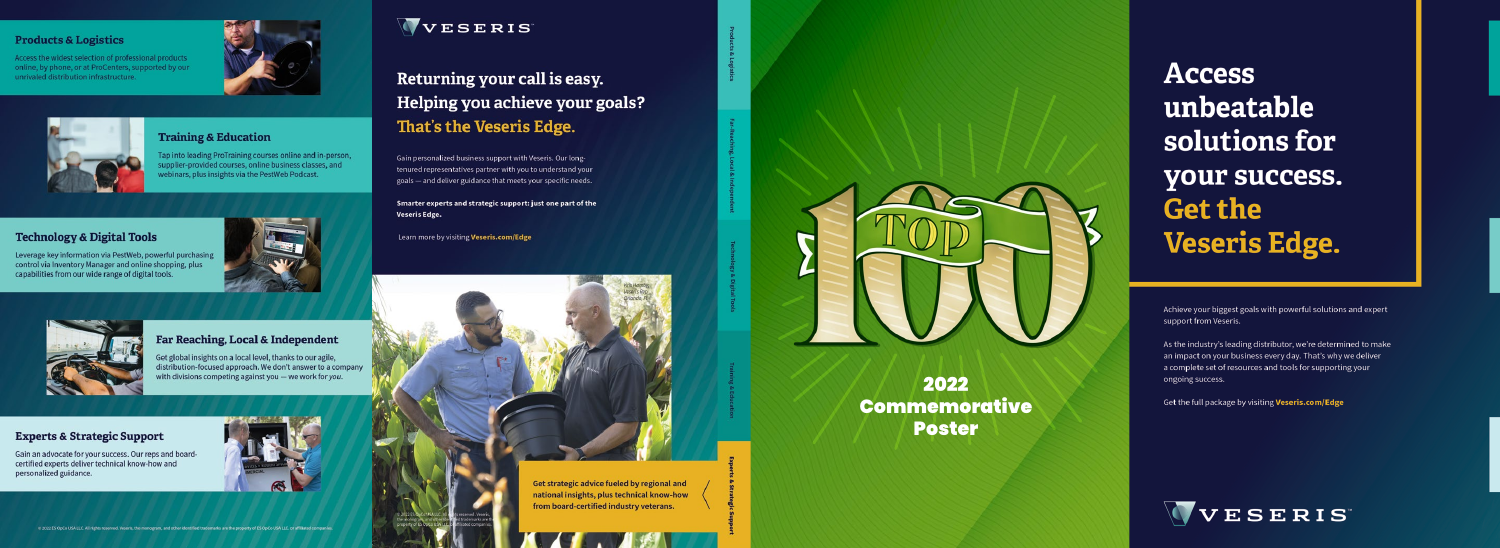#### **Products & Logistics**

Access the widest selection of professional products online, by phone, or at ProCenters, supported by our unrivaled distribution infrastructure.





#### **Training & Education**

Tap into leading ProTraining courses online and in-person, supplier-provided courses, online business classes, and webinars, plus insights via the PestWeb Podcast.

### **Technology & Digital Tools**



Leverage key information via PestWeb, powerful purchasing control via Inventory Manager and online shopping, plus capabilities from our wide range of digital tools.



### Far Reaching, Local & Independent

et global insights on a local level, thanks to our agile, distribution-focused approach. We don't answer to a company with divisions competing against you - we work for you.

#### **Experts & Strategic Support**

Gain an advocate for your success. Our reps and boardcertified experts deliver technical know-how and personalized guidance.





### Returning your call is easy. Helping you achieve your goals? That's the Veseris Edge.

Gain personalized business support with Veseris. Our longtenured representatives partner with you to understand your goals - and deliver guidance that meets your specific needs.

Smarter experts and strategic support: just one part of the Veseris Edge.

Learn more by visiting Veseris.com/Edge



Get strategic advice fueled by regional and national insights, plus technical know-how from board-certified industry veterans.



### 2022 Commemorative **Poster**

# **Access** unbeatable solutions for your success. **Get the Veseris Edge.**

Achieve your biggest goals with powerful solutions and expert support from Veseris.

As the industry's leading distributor, we're determined to make an impact on your business every day. That's why we deliver a complete set of resources and tools for supporting your ongoing success.

Get the full package by visiting Veseris.com/Edge